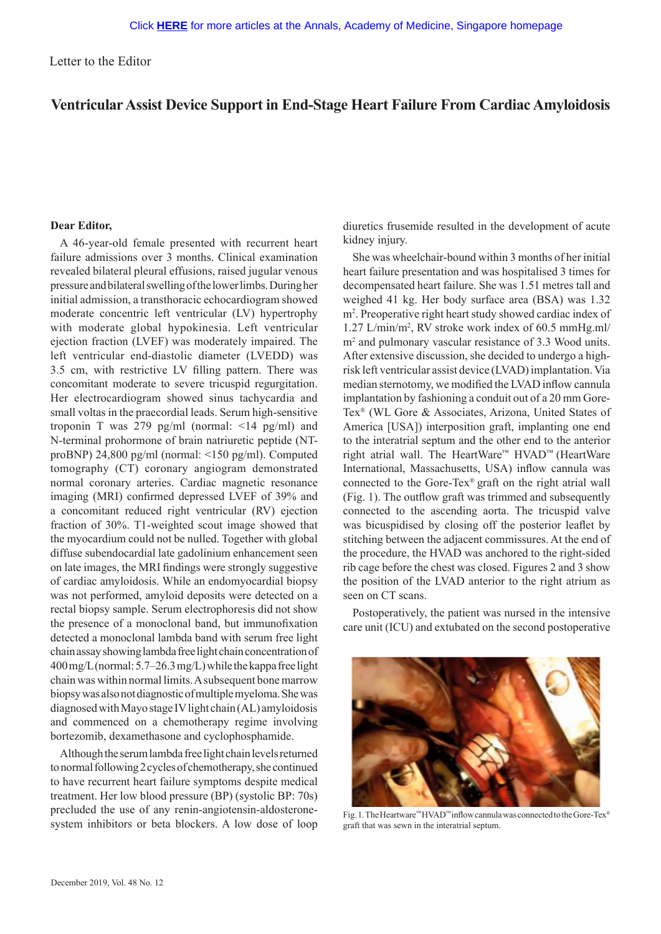Letter to the Editor

# **Ventricular Assist Device Support in End-Stage Heart Failure From Cardiac Amyloidosis**

## **Dear Editor,**

A 46-year-old female presented with recurrent heart failure admissions over 3 months. Clinical examination revealed bilateral pleural effusions, raised jugular venous pressure and bilateral swelling of the lower limbs. During her initial admission, a transthoracic echocardiogram showed moderate concentric left ventricular (LV) hypertrophy with moderate global hypokinesia. Left ventricular ejection fraction (LVEF) was moderately impaired. The left ventricular end-diastolic diameter (LVEDD) was 3.5 cm, with restrictive LV filling pattern. There was concomitant moderate to severe tricuspid regurgitation. Her electrocardiogram showed sinus tachycardia and small voltas in the praecordial leads. Serum high-sensitive troponin T was 279 pg/ml (normal:  $\leq$ 14 pg/ml) and N-terminal prohormone of brain natriuretic peptide (NTproBNP) 24,800 pg/ml (normal: <150 pg/ml). Computed tomography (CT) coronary angiogram demonstrated normal coronary arteries. Cardiac magnetic resonance imaging (MRI) confirmed depressed LVEF of 39% and a concomitant reduced right ventricular (RV) ejection fraction of 30%. T1-weighted scout image showed that the myocardium could not be nulled. Together with global diffuse subendocardial late gadolinium enhancement seen on late images, the MRI findings were strongly suggestive of cardiac amyloidosis. While an endomyocardial biopsy was not performed, amyloid deposits were detected on a rectal biopsy sample. Serum electrophoresis did not show the presence of a monoclonal band, but immunofixation detected a monoclonal lambda band with serum free light chain assay showing lambda free light chain concentration of 400 mg/L (normal: 5.7–26.3 mg/L) while the kappa free light chain was within normal limits. A subsequent bone marrow biopsy was also not diagnostic of multiple myeloma. She was diagnosed with Mayo stage IV light chain (AL) amyloidosis and commenced on a chemotherapy regime involving bortezomib, dexamethasone and cyclophosphamide.

Although the serum lambda free light chain levels returned to normal following 2 cycles of chemotherapy, she continued to have recurrent heart failure symptoms despite medical treatment. Her low blood pressure (BP) (systolic BP: 70s) precluded the use of any renin-angiotensin-aldosteronesystem inhibitors or beta blockers. A low dose of loop

diuretics frusemide resulted in the development of acute kidney injury.

She was wheelchair-bound within 3 months of her initial heart failure presentation and was hospitalised 3 times for decompensated heart failure. She was 1.51 metres tall and weighed 41 kg. Her body surface area (BSA) was 1.32 m<sup>2</sup>. Preoperative right heart study showed cardiac index of 1.27 L/min/m2 , RV stroke work index of 60.5 mmHg.ml/ m2 and pulmonary vascular resistance of 3.3 Wood units. After extensive discussion, she decided to undergo a highrisk left ventricular assist device (LVAD) implantation. Via median sternotomy, we modified the LVAD inflow cannula implantation by fashioning a conduit out of a 20 mm Gore-Tex® (WL Gore & Associates, Arizona, United States of America [USA]) interposition graft, implanting one end to the interatrial septum and the other end to the anterior right atrial wall. The HeartWare™ HVAD™ (HeartWare International, Massachusetts, USA) inflow cannula was connected to the Gore-Tex® graft on the right atrial wall (Fig. 1). The outflow graft was trimmed and subsequently connected to the ascending aorta. The tricuspid valve was bicuspidised by closing off the posterior leaflet by stitching between the adjacent commissures. At the end of the procedure, the HVAD was anchored to the right-sided rib cage before the chest was closed. Figures 2 and 3 show the position of the LVAD anterior to the right atrium as seen on CT scans.

Postoperatively, the patient was nursed in the intensive care unit (ICU) and extubated on the second postoperative



Fig. 1. The Heartware™ HVAD™ inflow cannula was connected to the Gore-Tex® graft that was sewn in the interatrial septum.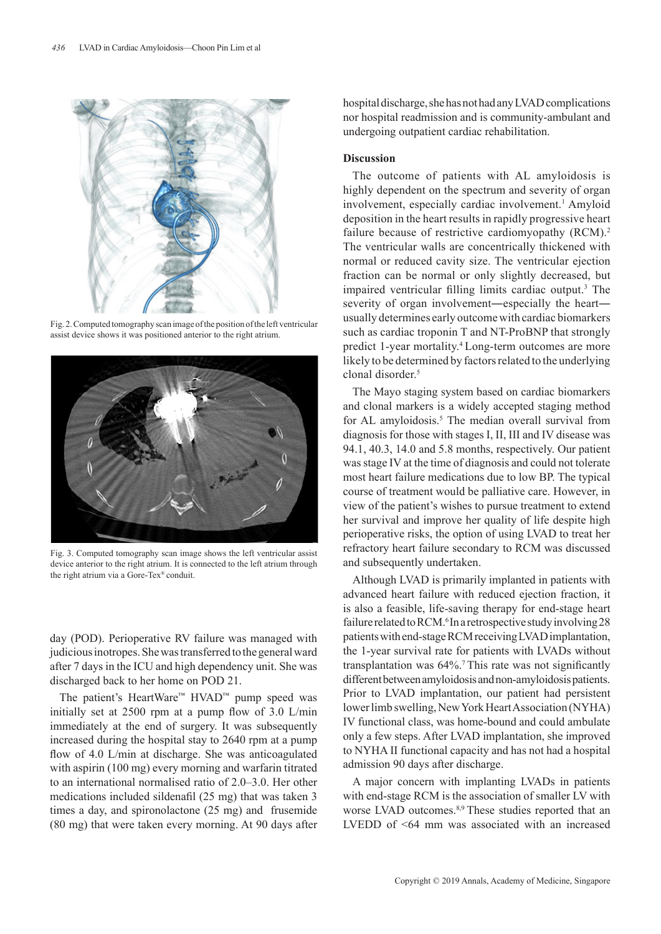

Fig. 2. Computed tomography scan image of the position of the left ventricular assist device shows it was positioned anterior to the right atrium.



Fig. 3. Computed tomography scan image shows the left ventricular assist device anterior to the right atrium. It is connected to the left atrium through the right atrium via a Gore-Tex® conduit.

day (POD). Perioperative RV failure was managed with judicious inotropes. She was transferred to the general ward after 7 days in the ICU and high dependency unit. She was discharged back to her home on POD 21.

The patient's HeartWare™ HVAD™ pump speed was initially set at 2500 rpm at a pump flow of 3.0 L/min immediately at the end of surgery. It was subsequently increased during the hospital stay to 2640 rpm at a pump flow of 4.0 L/min at discharge. She was anticoagulated with aspirin (100 mg) every morning and warfarin titrated to an international normalised ratio of 2.0–3.0. Her other medications included sildenafil (25 mg) that was taken 3 times a day, and spironolactone (25 mg) and frusemide (80 mg) that were taken every morning. At 90 days after hospital discharge, she has not had any LVAD complications nor hospital readmission and is community-ambulant and undergoing outpatient cardiac rehabilitation.

#### **Discussion**

The outcome of patients with AL amyloidosis is highly dependent on the spectrum and severity of organ involvement, especially cardiac involvement.<sup>1</sup> Amyloid deposition in the heart results in rapidly progressive heart failure because of restrictive cardiomyopathy (RCM).<sup>2</sup> The ventricular walls are concentrically thickened with normal or reduced cavity size. The ventricular ejection fraction can be normal or only slightly decreased, but impaired ventricular filling limits cardiac output.<sup>3</sup> The severity of organ involvement—especially the heart usually determines early outcome with cardiac biomarkers such as cardiac troponin T and NT-ProBNP that strongly predict 1-year mortality.<sup>4</sup> Long-term outcomes are more likely to be determined by factors related to the underlying clonal disorder.5

The Mayo staging system based on cardiac biomarkers and clonal markers is a widely accepted staging method for AL amyloidosis.<sup>5</sup> The median overall survival from diagnosis for those with stages I, II, III and IV disease was 94.1, 40.3, 14.0 and 5.8 months, respectively. Our patient was stage IV at the time of diagnosis and could not tolerate most heart failure medications due to low BP. The typical course of treatment would be palliative care. However, in view of the patient's wishes to pursue treatment to extend her survival and improve her quality of life despite high perioperative risks, the option of using LVAD to treat her refractory heart failure secondary to RCM was discussed and subsequently undertaken.

Although LVAD is primarily implanted in patients with advanced heart failure with reduced ejection fraction, it is also a feasible, life-saving therapy for end-stage heart failure related to RCM.<sup>6</sup> In a retrospective study involving 28 patients with end-stage RCM receiving LVAD implantation, the 1-year survival rate for patients with LVADs without transplantation was  $64\%$ .<sup>7</sup> This rate was not significantly different between amyloidosis and non-amyloidosis patients. Prior to LVAD implantation, our patient had persistent lower limb swelling, New York Heart Association (NYHA) IV functional class, was home-bound and could ambulate only a few steps. After LVAD implantation, she improved to NYHA II functional capacity and has not had a hospital admission 90 days after discharge.

A major concern with implanting LVADs in patients with end-stage RCM is the association of smaller LV with worse LVAD outcomes.<sup>8,9</sup> These studies reported that an LVEDD of <64 mm was associated with an increased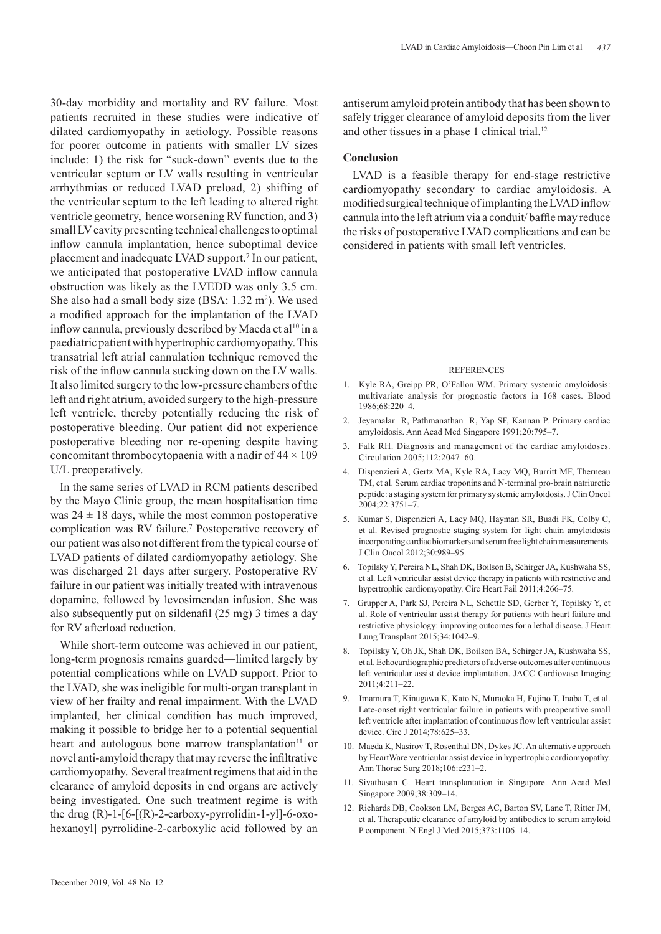30-day morbidity and mortality and RV failure. Most patients recruited in these studies were indicative of dilated cardiomyopathy in aetiology. Possible reasons for poorer outcome in patients with smaller LV sizes include: 1) the risk for "suck-down" events due to the ventricular septum or LV walls resulting in ventricular arrhythmias or reduced LVAD preload, 2) shifting of the ventricular septum to the left leading to altered right ventricle geometry, hence worsening RV function, and 3) small LV cavity presenting technical challenges to optimal inflow cannula implantation, hence suboptimal device placement and inadequate LVAD support.<sup>7</sup> In our patient, we anticipated that postoperative LVAD inflow cannula obstruction was likely as the LVEDD was only 3.5 cm. She also had a small body size  $(BSA: 1.32 \text{ m}^2)$ . We used a modified approach for the implantation of the LVAD inflow cannula, previously described by Maeda et al<sup>10</sup> in a paediatric patient with hypertrophic cardiomyopathy. This transatrial left atrial cannulation technique removed the risk of the inflow cannula sucking down on the LV walls. It also limited surgery to the low-pressure chambers of the left and right atrium, avoided surgery to the high-pressure left ventricle, thereby potentially reducing the risk of postoperative bleeding. Our patient did not experience postoperative bleeding nor re-opening despite having concomitant thrombocytopaenia with a nadir of  $44 \times 109$ U/L preoperatively.

In the same series of LVAD in RCM patients described by the Mayo Clinic group, the mean hospitalisation time was  $24 \pm 18$  days, while the most common postoperative complication was RV failure.<sup>7</sup> Postoperative recovery of our patient was also not different from the typical course of LVAD patients of dilated cardiomyopathy aetiology. She was discharged 21 days after surgery. Postoperative RV failure in our patient was initially treated with intravenous dopamine, followed by levosimendan infusion. She was also subsequently put on sildenafil (25 mg) 3 times a day for RV afterload reduction.

While short-term outcome was achieved in our patient, long-term prognosis remains guarded―limited largely by potential complications while on LVAD support. Prior to the LVAD, she was ineligible for multi-organ transplant in view of her frailty and renal impairment. With the LVAD implanted, her clinical condition has much improved, making it possible to bridge her to a potential sequential heart and autologous bone marrow transplantation $11$  or novel anti-amyloid therapy that may reverse the infiltrative cardiomyopathy. Several treatment regimens that aid in the clearance of amyloid deposits in end organs are actively being investigated. One such treatment regime is with the drug  $(R)$ -1-[6-[ $(R)$ -2-carboxy-pyrrolidin-1-yl]-6-oxohexanoyl] pyrrolidine-2-carboxylic acid followed by an

antiserum amyloid protein antibody that has been shown to safely trigger clearance of amyloid deposits from the liver and other tissues in a phase 1 clinical trial.<sup>12</sup>

### **Conclusion**

LVAD is a feasible therapy for end-stage restrictive cardiomyopathy secondary to cardiac amyloidosis. A modified surgical technique of implanting the LVAD inflow cannula into the left atrium via a conduit/ baffle may reduce the risks of postoperative LVAD complications and can be considered in patients with small left ventricles.

#### **REFERENCES**

- 1. Kyle RA, Greipp PR, O'Fallon WM. Primary systemic amyloidosis: multivariate analysis for prognostic factors in 168 cases. Blood 1986;68:220‒4.
- 2. Jeyamalar R, Pathmanathan R, Yap SF, Kannan P. Primary cardiac amyloidosis. Ann Acad Med Singapore 1991;20:795-7.
- 3. Falk RH. Diagnosis and management of the cardiac amyloidoses. Circulation 2005;112:2047–60.
- 4. Dispenzieri A, Gertz MA, Kyle RA, Lacy MQ, Burritt MF, Therneau TM, et al. Serum cardiac troponins and N-terminal pro-brain natriuretic peptide: a staging system for primary systemic amyloidosis. J Clin Oncol 2004;22:3751‒7.
- 5. Kumar S, Dispenzieri A, Lacy MQ, Hayman SR, Buadi FK, Colby C, et al. Revised prognostic staging system for light chain amyloidosis incorporating cardiac biomarkers and serum free light chain measurements. J Clin Oncol 2012;30:989‒95.
- 6. Topilsky Y, Pereira NL, Shah DK, Boilson B, Schirger JA, Kushwaha SS, et al. Left ventricular assist device therapy in patients with restrictive and hypertrophic cardiomyopathy. Circ Heart Fail 2011;4:266-75.
- 7. Grupper A, Park SJ, Pereira NL, Schettle SD, Gerber Y, Topilsky Y, et al. Role of ventricular assist therapy for patients with heart failure and restrictive physiology: improving outcomes for a lethal disease. J Heart Lung Transplant 2015;34:1042‒9.
- 8. Topilsky Y, Oh JK, Shah DK, Boilson BA, Schirger JA, Kushwaha SS, et al. Echocardiographic predictors of adverse outcomes after continuous left ventricular assist device implantation. JACC Cardiovasc Imaging 2011;4:211‒22.
- 9. Imamura T, Kinugawa K, Kato N, Muraoka H, Fujino T, Inaba T, et al. Late-onset right ventricular failure in patients with preoperative small left ventricle after implantation of continuous flow left ventricular assist device. Circ J 2014;78:625-33.
- 10. Maeda K, Nasirov T, Rosenthal DN, Dykes JC. An alternative approach by HeartWare ventricular assist device in hypertrophic cardiomyopathy. Ann Thorac Surg 2018;106:e231-2.
- 11. Sivathasan C. Heart transplantation in Singapore. Ann Acad Med Singapore 2009;38:309-14.
- 12. Richards DB, Cookson LM, Berges AC, Barton SV, Lane T, Ritter JM, et al. Therapeutic clearance of amyloid by antibodies to serum amyloid P component. N Engl J Med 2015;373:1106-14.